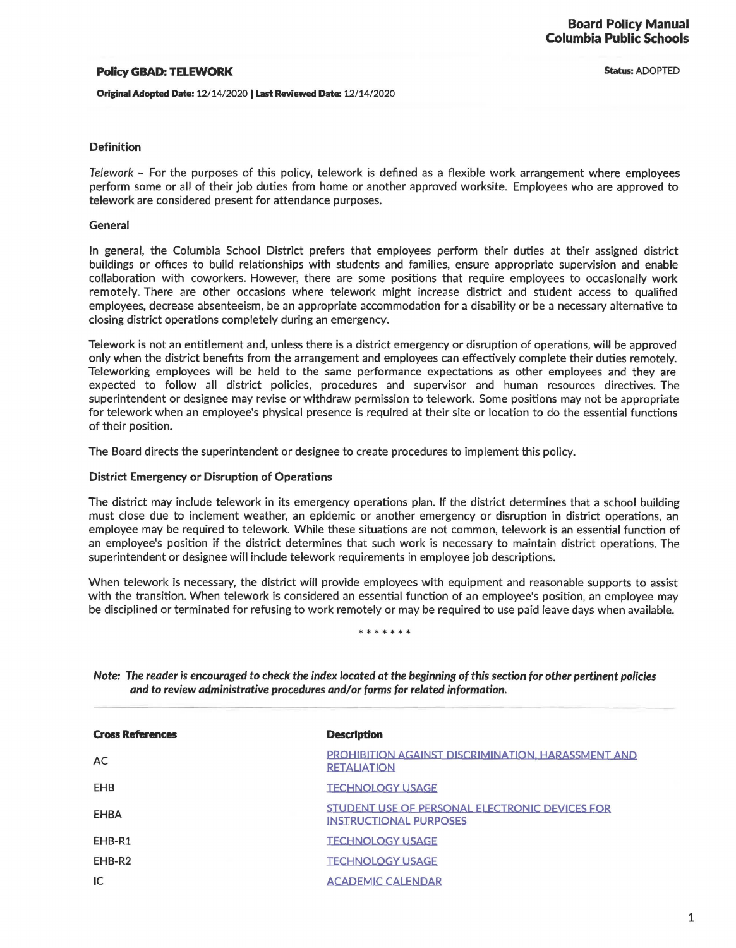## Policy GBAD: TELEWORK

Original Adopted Date: 12/14/2020 I Last Reviewed Date: 12/14/2020

**Status: ADOPTED** 

## Definition

Telework - For the purposes of this policy, telework is defined as a flexible work arrangement where employees perform some or all of their job duties from home or another approved worksite. Employees who are approved to telework are considered present for attendance purposes.

## General

In general, the Columbia School District prefers that employees perform their duties at their assigned district buildings or offices to build relationships with students and families, ensure appropriate supervision and enable collaboration with coworkers. However, there are some positions that require employees to occasionally work remotely. There are other occasions where telework might increase district and student access to qualified employees, decrease absenteeism, be an appropriate accommodation for a disability or be a necessary alternative to closing district operations completely during an emergency.

Telework is not an entitlement and, unless there is a district emergency or disruption of operations, will be approved only when the district benefits from the arrangement and employees can effectively complete their duties remotely. Teleworking employees will be held to the same performance expectations as other employees and they are expected to follow all district policies, procedures and supervisor and human resources directives. The superintendent or designee may revise or withdraw permission to telework. Some positions may not be appropriate for telework when an employee's physical presence is required at their site or location to do the essential functions of their position.

The Board directs the superintendent or designee to create procedures to implement this policy.

## District Emergency or Disruption of Operations

The district may include telework in its emergency operations plan. If the district determines that a school building must close due to inclement weather, an epidemic or another emergency or disruption in district operations, an employee may be required to telework. While these situations are not common, telework is an essential function of an employee's position if the district determines that such work is necessary to maintain district operations. The superintendent or designee will include telework requirements in employee job descriptions.

When telework is necessary, the district will provide employees with equipment and reasonable supports to assist with the transition. When telework is considered an essential function of an employee's position, an employee may be disciplined or terminated for refusing to work remotely or may be required to use paid leave days when available.

\*\*\*\*\*\*

| <b>Cross References</b> | <b>Description</b>                                                                     |
|-------------------------|----------------------------------------------------------------------------------------|
| AC                      | <b>PROHIBITION AGAINST DISCRIMINATION, HARASSMENT AND</b><br><b>RETALIATION</b>        |
| EHB                     | <b>TECHNOLOGY USAGE</b>                                                                |
| EHBA                    | <b>STUDENT USE OF PERSONAL ELECTRONIC DEVICES FOR</b><br><b>INSTRUCTIONAL PURPOSES</b> |
| EHB-R1                  | <b>TECHNOLOGY USAGE</b>                                                                |
| EHB-R2                  | <b>TECHNOLOGY USAGE</b>                                                                |
| IC                      | <b>ACADEMIC CALENDAR</b>                                                               |

Note: The reader is encouraged to check the index located at the beginning of this section for other pertinent policies and to review administrative procedures and/or forms for related information.